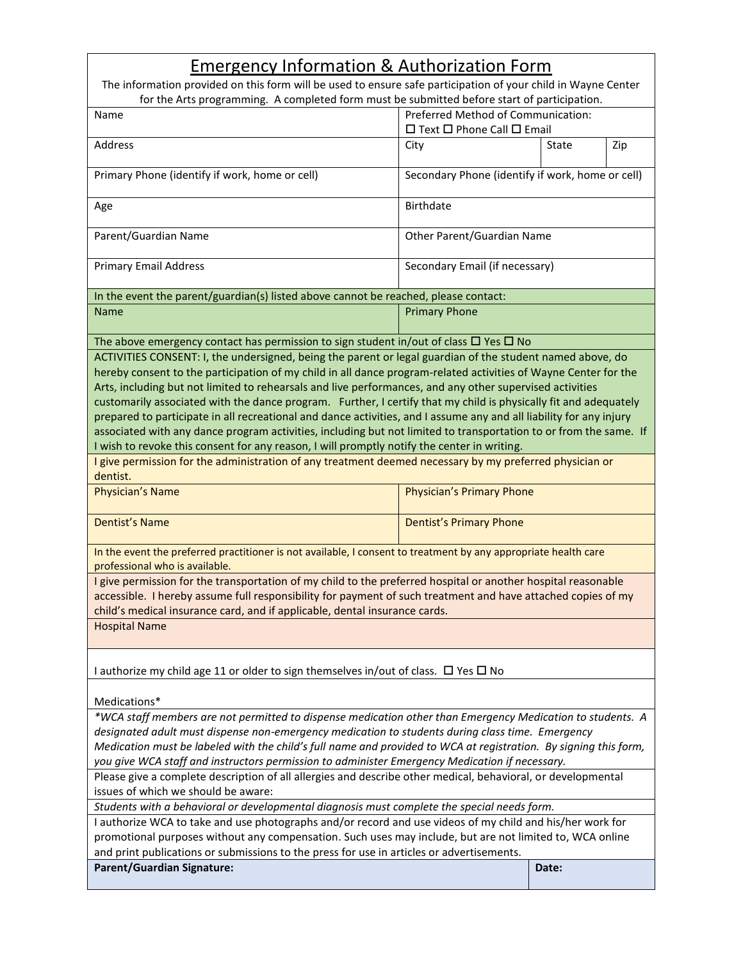## Emergency Information & Authorization Form

| The information provided on this form will be used to ensure safe participation of your child in Wayne Center<br>for the Arts programming. A completed form must be submitted before start of participation.     |                                                                                  |       |     |  |  |
|------------------------------------------------------------------------------------------------------------------------------------------------------------------------------------------------------------------|----------------------------------------------------------------------------------|-------|-----|--|--|
| Name                                                                                                                                                                                                             | Preferred Method of Communication:<br>$\Box$ Text $\Box$ Phone Call $\Box$ Email |       |     |  |  |
| Address                                                                                                                                                                                                          | City                                                                             | State | Zip |  |  |
| Primary Phone (identify if work, home or cell)                                                                                                                                                                   | Secondary Phone (identify if work, home or cell)                                 |       |     |  |  |
| Age                                                                                                                                                                                                              | <b>Birthdate</b>                                                                 |       |     |  |  |
| Parent/Guardian Name                                                                                                                                                                                             | Other Parent/Guardian Name                                                       |       |     |  |  |
| <b>Primary Email Address</b>                                                                                                                                                                                     | Secondary Email (if necessary)                                                   |       |     |  |  |
| In the event the parent/guardian(s) listed above cannot be reached, please contact:                                                                                                                              |                                                                                  |       |     |  |  |
| Name                                                                                                                                                                                                             | <b>Primary Phone</b>                                                             |       |     |  |  |
| The above emergency contact has permission to sign student in/out of class $\Box$ Yes $\Box$ No                                                                                                                  |                                                                                  |       |     |  |  |
| ACTIVITIES CONSENT: I, the undersigned, being the parent or legal guardian of the student named above, do                                                                                                        |                                                                                  |       |     |  |  |
| hereby consent to the participation of my child in all dance program-related activities of Wayne Center for the                                                                                                  |                                                                                  |       |     |  |  |
| Arts, including but not limited to rehearsals and live performances, and any other supervised activities                                                                                                         |                                                                                  |       |     |  |  |
| customarily associated with the dance program. Further, I certify that my child is physically fit and adequately                                                                                                 |                                                                                  |       |     |  |  |
| prepared to participate in all recreational and dance activities, and I assume any and all liability for any injury                                                                                              |                                                                                  |       |     |  |  |
| associated with any dance program activities, including but not limited to transportation to or from the same. If<br>I wish to revoke this consent for any reason, I will promptly notify the center in writing. |                                                                                  |       |     |  |  |
|                                                                                                                                                                                                                  |                                                                                  |       |     |  |  |
| I give permission for the administration of any treatment deemed necessary by my preferred physician or<br>dentist.                                                                                              |                                                                                  |       |     |  |  |
| Physician's Name                                                                                                                                                                                                 | Physician's Primary Phone                                                        |       |     |  |  |
| <b>Dentist's Name</b>                                                                                                                                                                                            | <b>Dentist's Primary Phone</b>                                                   |       |     |  |  |
| In the event the preferred practitioner is not available, I consent to treatment by any appropriate health care<br>professional who is available.                                                                |                                                                                  |       |     |  |  |
| I give permission for the transportation of my child to the preferred hospital or another hospital reasonable                                                                                                    |                                                                                  |       |     |  |  |
| accessible. I hereby assume full responsibility for payment of such treatment and have attached copies of my                                                                                                     |                                                                                  |       |     |  |  |
| child's medical insurance card, and if applicable, dental insurance cards.                                                                                                                                       |                                                                                  |       |     |  |  |
| <b>Hospital Name</b>                                                                                                                                                                                             |                                                                                  |       |     |  |  |
| I authorize my child age 11 or older to sign themselves in/out of class. $\Box$ Yes $\Box$ No                                                                                                                    |                                                                                  |       |     |  |  |
| Medications*                                                                                                                                                                                                     |                                                                                  |       |     |  |  |
| *WCA staff members are not permitted to dispense medication other than Emergency Medication to students. A                                                                                                       |                                                                                  |       |     |  |  |
| designated adult must dispense non-emergency medication to students during class time. Emergency                                                                                                                 |                                                                                  |       |     |  |  |
| Medication must be labeled with the child's full name and provided to WCA at registration. By signing this form,                                                                                                 |                                                                                  |       |     |  |  |
| you give WCA staff and instructors permission to administer Emergency Medication if necessary.                                                                                                                   |                                                                                  |       |     |  |  |
| Please give a complete description of all allergies and describe other medical, behavioral, or developmental<br>issues of which we should be aware:                                                              |                                                                                  |       |     |  |  |
| Students with a behavioral or developmental diagnosis must complete the special needs form.                                                                                                                      |                                                                                  |       |     |  |  |
| I authorize WCA to take and use photographs and/or record and use videos of my child and his/her work for                                                                                                        |                                                                                  |       |     |  |  |
| promotional purposes without any compensation. Such uses may include, but are not limited to, WCA online<br>and print publications or submissions to the press for use in articles or advertisements.            |                                                                                  |       |     |  |  |
| <b>Parent/Guardian Signature:</b><br>Date:                                                                                                                                                                       |                                                                                  |       |     |  |  |
|                                                                                                                                                                                                                  |                                                                                  |       |     |  |  |